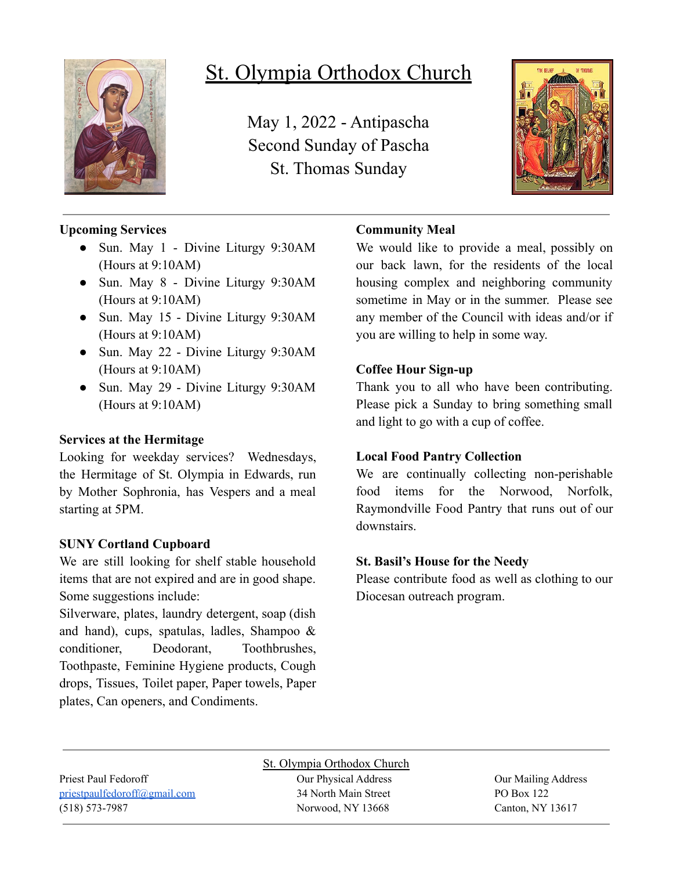

# St. Olympia Orthodox Church

May 1, 2022 - Antipascha Second Sunday of Pascha St. Thomas Sunday



## **Upcoming Services**

- Sun. May 1 Divine Liturgy 9:30AM (Hours at 9:10AM)
- Sun. May 8 Divine Liturgy 9:30AM (Hours at 9:10AM)
- Sun. May 15 Divine Liturgy 9:30AM (Hours at 9:10AM)
- Sun. May 22 Divine Liturgy 9:30AM (Hours at 9:10AM)
- Sun. May 29 Divine Liturgy 9:30AM (Hours at 9:10AM)

#### **Services at the Hermitage**

Looking for weekday services? Wednesdays, the Hermitage of St. Olympia in Edwards, run by Mother Sophronia, has Vespers and a meal starting at 5PM.

#### **SUNY Cortland Cupboard**

We are still looking for shelf stable household items that are not expired and are in good shape. Some suggestions include:

Silverware, plates, laundry detergent, soap (dish and hand), cups, spatulas, ladles, Shampoo & conditioner, Deodorant, Toothbrushes, Toothpaste, Feminine Hygiene products, Cough drops, Tissues, Toilet paper, Paper towels, Paper plates, Can openers, and Condiments.

### **Community Meal**

We would like to provide a meal, possibly on our back lawn, for the residents of the local housing complex and neighboring community sometime in May or in the summer. Please see any member of the Council with ideas and/or if you are willing to help in some way.

#### **Coffee Hour Sign-up**

Thank you to all who have been contributing. Please pick a Sunday to bring something small and light to go with a cup of coffee.

### **Local Food Pantry Collection**

We are continually collecting non-perishable food items for the Norwood, Norfolk, Raymondville Food Pantry that runs out of our downstairs.

### **St. Basil's House for the Needy**

Please contribute food as well as clothing to our Diocesan outreach program.

[priestpaulfedoroff@gmail.com](mailto:priestpaulfedoroff@gmail.com) 34 North Main Street PO Box 122 (518) 573-7987 Norwood, NY 13668 Canton, NY 13617

St. Olympia Orthodox Church Priest Paul Fedoroff Our Physical Address Our Mailing Address